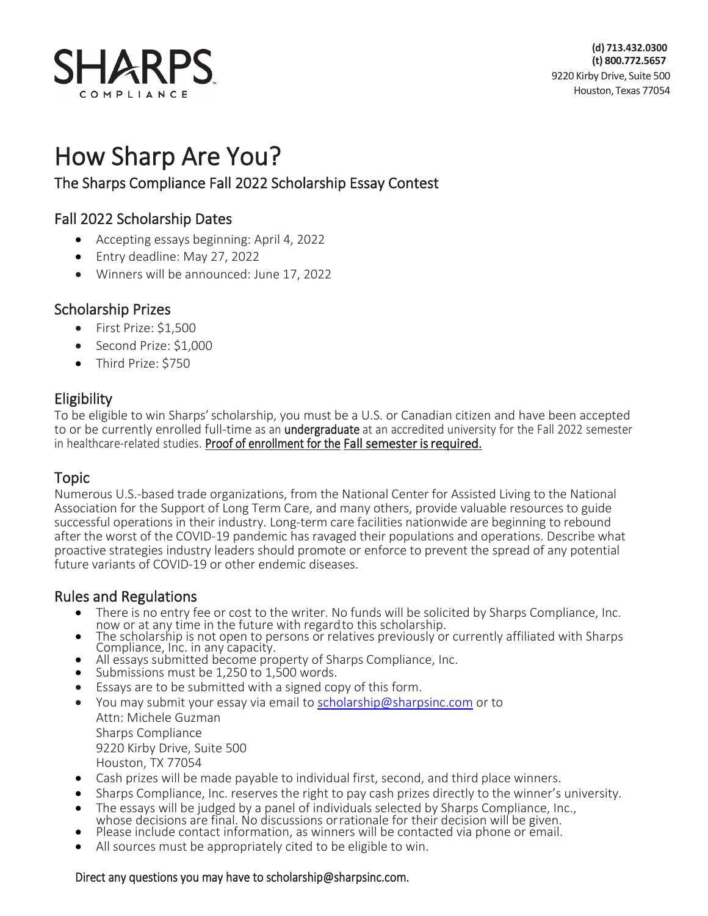

How Sharp Are You?<br>The Sharps Compliance Fall 2022 Scholarship Essay Contest

# Fall 2022 Scholarship Dates

- Accepting essays beginning: April 4, 2022
- Entry deadline: May 27, 2022
- Winners will be announced: June 17, 2022

## Scholarship Prizes

- First Prize: \$1,500
- Second Prize: \$1,000
- Third Prize: \$750

**Eligibility**<br>To be eligible to win Sharps' scholarship, you must be a U.S. or Canadian citizen and have been accepted to or be currently enrolled full-time as an *undergraduate* at an accredited university for the Fall 2022 semester in healthcare-related studies. Proof of enrollment for the Fall semester is required.

**Topic**<br>Numerous U.S.-based trade organizations, from the National Center for Assisted Living to the National Association for the Support of Long Term Care, and many others, provide valuable resources to guide successful operations in their industry. Long-term care facilities nationwide are beginning to rebound after the worst of the COVID-19 pandemic has ravaged their populations and operations. Describe what proactive strategies industry leaders should promote or enforce to prevent the spread of any potential future variants of COVID-19 or other endemic diseases.

### Rules and Regulations

- There is no entry fee or cost to the writer. No funds will be solicited by Sharps Compliance, Inc.<br>now or at any time in the future with regard to this scholarship.
- The scholarship is not open to persons or relatives previously or currently affiliated with Sharps<br>Compliance, Inc. in any capacity.<br>• All essays submitted become property of Sharps Compliance, Inc.<br>• Submissions must be
- 
- 
- Essays are to be submitted with a signed copy of this form.
- You may submit your essay via email t[o scholarship@sharpsinc.com](mailto:scholarship@sharpsinc.com) or to Attn: Michele Guzman Sharps Compliance 9220 Kirby Drive, Suite 500 Houston, TX 77054
- Cash prizes will be made payable to individual first, second, and third place winners.
- Sharps Compliance, Inc. reserves the right to pay cash prizes directly to the winner's university.
- The essays will be judged by a panel of individuals selected by Sharps Compliance, Inc., whose decisions are final. No discussions or rationale for their decision will be given.<br>• Please include contact information, as w
- 
- All sources must be appropriately cited to be eligible to win.

### Direct any questions you may have to [scholarship@sharpsinc.com.](mailto:scholarship@sharpsinc.com)